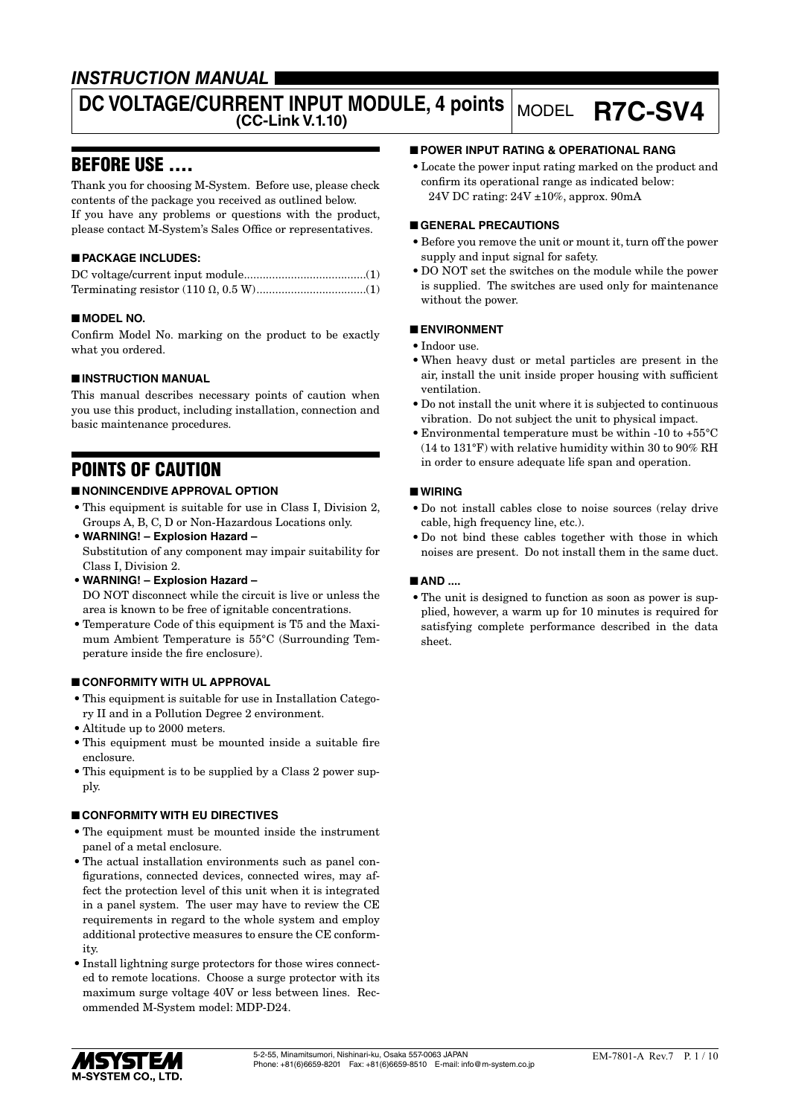# *INSTRUCTION MANUAL*

# **DC VOLTAGE/CURRENT INPUT MODULE, 4 points** MODEL **R7C-SV4**

# BEFORE USE ....

Thank you for choosing M-System. Before use, please check contents of the package you received as outlined below. If you have any problems or questions with the product, please contact M-System's Sales Office or representatives.

### ■ **PACKAGE INCLUDES:**

### ■ **MODEL NO.**

Confirm Model No. marking on the product to be exactly what you ordered.

### ■ **INSTRUCTION MANUAL**

This manual describes necessary points of caution when you use this product, including installation, connection and basic maintenance procedures.

# POINTS OF CAUTION

### ■ **NONINCENDIVE APPROVAL OPTION**

- This equipment is suitable for use in Class I, Division 2, Groups A, B, C, D or Non-Hazardous Locations only.
- **WARNING! Explosion Hazard –** Substitution of any component may impair suitability for Class I, Division 2.
- **WARNING! Explosion Hazard –** DO NOT disconnect while the circuit is live or unless the area is known to be free of ignitable concentrations.
- Temperature Code of this equipment is T5 and the Maximum Ambient Temperature is 55°C (Surrounding Temperature inside the fire enclosure).

### ■ **CONFORMITY WITH UL APPROVAL**

- This equipment is suitable for use in Installation Category II and in a Pollution Degree 2 environment.
- Altitude up to 2000 meters.
- This equipment must be mounted inside a suitable fire enclosure.
- This equipment is to be supplied by a Class 2 power supply.

### ■ **CONFORMITY WITH EU DIRECTIVES**

- The equipment must be mounted inside the instrument panel of a metal enclosure.
- The actual installation environments such as panel configurations, connected devices, connected wires, may affect the protection level of this unit when it is integrated in a panel system. The user may have to review the CE requirements in regard to the whole system and employ additional protective measures to ensure the CE conformity.
- Install lightning surge protectors for those wires connected to remote locations. Choose a surge protector with its maximum surge voltage 40V or less between lines. Recommended M-System model: MDP-D24.

### ■ **POWER INPUT RATING & OPERATIONAL RANG**

• Locate the power input rating marked on the product and confirm its operational range as indicated below: 24V DC rating: 24V ±10%, approx. 90mA

### ■ **GENERAL PRECAUTIONS**

- Before you remove the unit or mount it, turn off the power supply and input signal for safety.
- DO NOT set the switches on the module while the power is supplied. The switches are used only for maintenance without the power.

### ■ **ENVIRONMENT**

- Indoor use.
- When heavy dust or metal particles are present in the air, install the unit inside proper housing with sufficient ventilation.
- Do not install the unit where it is subjected to continuous vibration. Do not subject the unit to physical impact.
- Environmental temperature must be within -10 to +55°C (14 to 131°F) with relative humidity within 30 to 90% RH in order to ensure adequate life span and operation.

### ■ **WIRING**

- Do not install cables close to noise sources (relay drive cable, high frequency line, etc.).
- Do not bind these cables together with those in which noises are present. Do not install them in the same duct.

### ■ AND ....

• The unit is designed to function as soon as power is supplied, however, a warm up for 10 minutes is required for satisfying complete performance described in the data sheet.

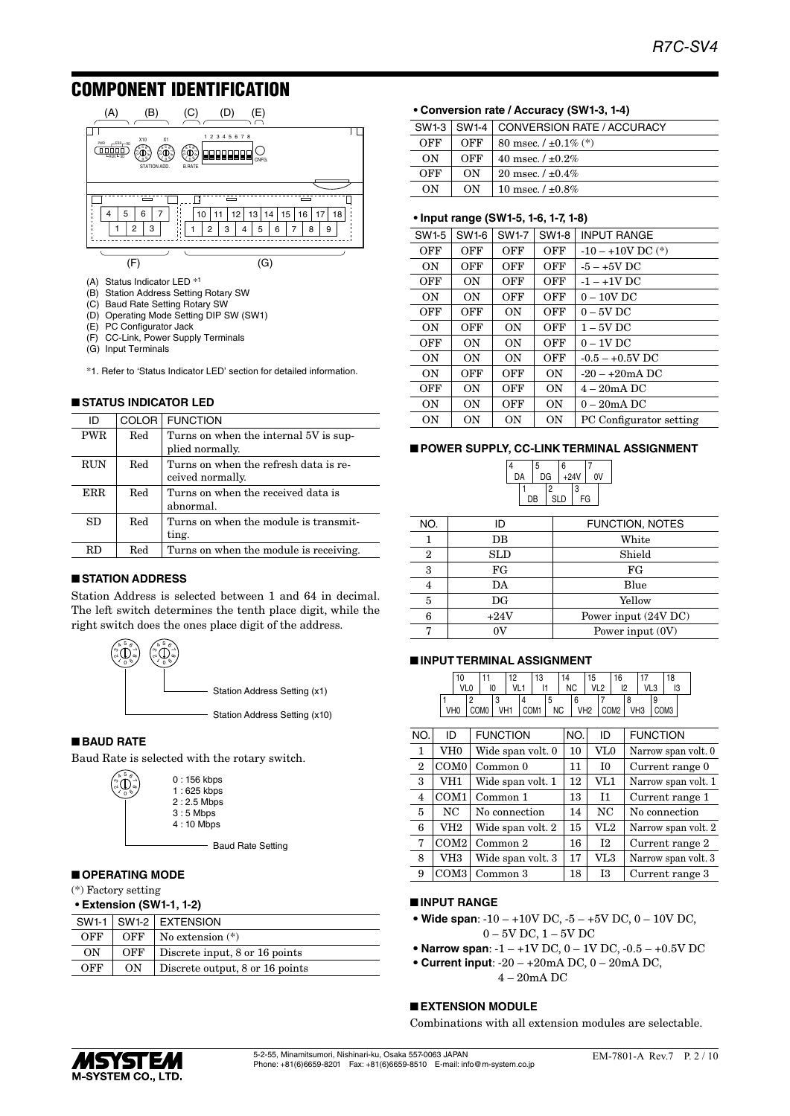# COMPONENT IDENTIFICATION



- (B) Station Address Setting Rotary SW
- (C) Baud Rate Setting Rotary SW
- (D) Operating Mode Setting DIP SW (SW1)
- (E) PC Configurator Jack
- (F) CC-Link, Power Supply Terminals
- (G) Input Terminals
- \*1. Refer to 'Status Indicator LED' section for detailed information.

### ■ **STATUS INDICATOR LED**

| ID         | COLOR <sup>1</sup> | <b>FUNCTION</b>                                           |
|------------|--------------------|-----------------------------------------------------------|
| <b>PWR</b> | Red                | Turns on when the internal 5V is sup-<br>plied normally.  |
| <b>RUN</b> | Red                | Turns on when the refresh data is re-<br>ceived normally. |
| ERR.       | Red                | Turns on when the received data is<br>abnormal.           |
| SD         | Red                | Turns on when the module is transmit-<br>ting.            |
| RD.        | $_{\rm Red}$       | Turns on when the module is receiving.                    |

### ■ **STATION ADDRESS**

Station Address is selected between 1 and 64 in decimal. The left switch determines the tenth place digit, while the right switch does the ones place digit of the address.



### ■ **BAUD RATE**

Baud Rate is selected with the rotary switch.



- Baud Rate Setting

#### ■ **OPERATING MODE**

(\*) Factory setting

| • Extension (SW1-1, 1-2) |  |
|--------------------------|--|
|--------------------------|--|

|     |     | $SW1-1$ SW1-2 EXTENSION         |
|-----|-----|---------------------------------|
| OFF | OFF | No extension $(*)$              |
| ON  | OFF | Discrete input, 8 or 16 points  |
| OFF | OΝ  | Discrete output, 8 or 16 points |

|     | SW1-3   SW1-4 | <b>CONVERSION RATE / ACCURACY</b> |
|-----|---------------|-----------------------------------|
| OFF | OFF           | 80 msec. $/ \pm 0.1\%$ (*)        |
| ON  | OFF           | 40 msec. $/ \pm 0.2\%$            |
| OFF | ON            | 20 msec. $/ \pm 0.4\%$            |
| ON  | OΝ            | 10 msec. $/ \pm 0.8\%$            |

#### **• Input range (SW1-5, 1-6, 1-7, 1-8)**

| SW1-5 | SW1-6 | <b>SW1-7</b> | SW1-8     | <b>INPUT RANGE</b>      |
|-------|-------|--------------|-----------|-------------------------|
| OFF   | OFF   | OFF          | OFF       | $-10 - +10V$ DC $(*)$   |
| ON    | OFF   | OFF          | OFF       | $-5 - +5V$ DC           |
| OFF   | ON    | OFF          | OFF       | $-1 - +1V$ DC           |
| ON    | ON    | OFF          | OFF       | $0-10V$ DC              |
| OFF   | OFF   | ON           | OFF       | $0 - 5V$ DC             |
| ON    | OFF   | ON           | OFF       | $1 - 5V$ DC             |
| OFF   | ON    | ON           | OFF       | $0 - 1V$ DC             |
| ON    | ON    | ON           | OFF       | $-0.5 - +0.5V$ DC       |
| ON    | OFF   | OFF          | <b>ON</b> | $-20 - +20mA$ DC        |
| OFF   | ON    | OFF          | ON        | $4-20$ mA DC            |
| ON    | ON    | OFF          | ON        | $0 - 20$ mA DC          |
| ON    | ON    | ON           | ON        | PC Configurator setting |

#### ■ **POWER SUPPLY, CC-LINK TERMINAL ASSIGNMENT**



| NO.            | חו     | <b>FUNCTION, NOTES</b> |
|----------------|--------|------------------------|
|                | DB     | White                  |
| $\overline{2}$ | SLD    | Shield                 |
| 3              | FG     | FG                     |
| 4              | DA     | Blue                   |
| 5              | DG     | Yellow                 |
| 6              | $+24V$ | Power input (24V DC)   |
|                | ov     | Power input (0V)       |

#### ■ **INPUT TERMINAL ASSIGNMENT**

|                 | 10              |    |        | 10<br>c        | 13  |           | 14        | 15 | 16  |                 |   | 18 |  |
|-----------------|-----------------|----|--------|----------------|-----|-----------|-----------|----|-----|-----------------|---|----|--|
|                 | VL <sub>0</sub> | 10 |        | V <sub>1</sub> | м   |           | <b>NC</b> |    | 12  | VL <sub>3</sub> |   | 13 |  |
|                 |                 |    | o<br>w |                |     |           |           |    |     |                 | a |    |  |
| VH <sub>0</sub> |                 |    |        |                | DM1 | <b>NC</b> |           |    | OM2 | VH3             |   |    |  |

| NO.          | ID               | <b>FUNCTION</b>   | NO. | ID              | <b>FUNCTION</b>     |
|--------------|------------------|-------------------|-----|-----------------|---------------------|
| 1            | VH0              | Wide span volt. 0 | 10  | VL <sub>0</sub> | Narrow span volt. 0 |
| $\mathbf{2}$ | COM <sub>0</sub> | Common 0          | 11  | 10              | Current range 0     |
| 3            | VH1              | Wide span volt. 1 | 12  | VL1             | Narrow span volt. 1 |
| 4            | COM <sub>1</sub> | Common 1          | 13  | $_{11}$         | Current range 1     |
| 5            | NC               | No connection     | 14  | NC.             | No connection       |
| 6            | VH2              | Wide span volt. 2 | 15  | VL2             | Narrow span volt. 2 |
| 7            | COM2             | Common 2          | 16  | I <sub>2</sub>  | Current range 2     |
| 8            | VH3              | Wide span volt. 3 | 17  | VL3             | Narrow span volt. 3 |
| 9            | COM <sub>3</sub> | Common 3          | 18  | 13              | Current range 3     |

#### ■ **INPUT RANGE**

- **Wide span**:  $-10 +10V$  DC,  $-5 +5V$  DC,  $0 10V$  DC, 0 – 5V DC, 1 – 5V DC
- **Narrow span**:  $-1 +1V$  DC,  $0 1V$  DC,  $-0.5 +0.5V$  DC
- **Current input**: -20 +20mA DC, 0 20mA DC, 4 – 20mA DC

#### ■ **EXTENSION MODULE**

Combinations with all extension modules are selectable.

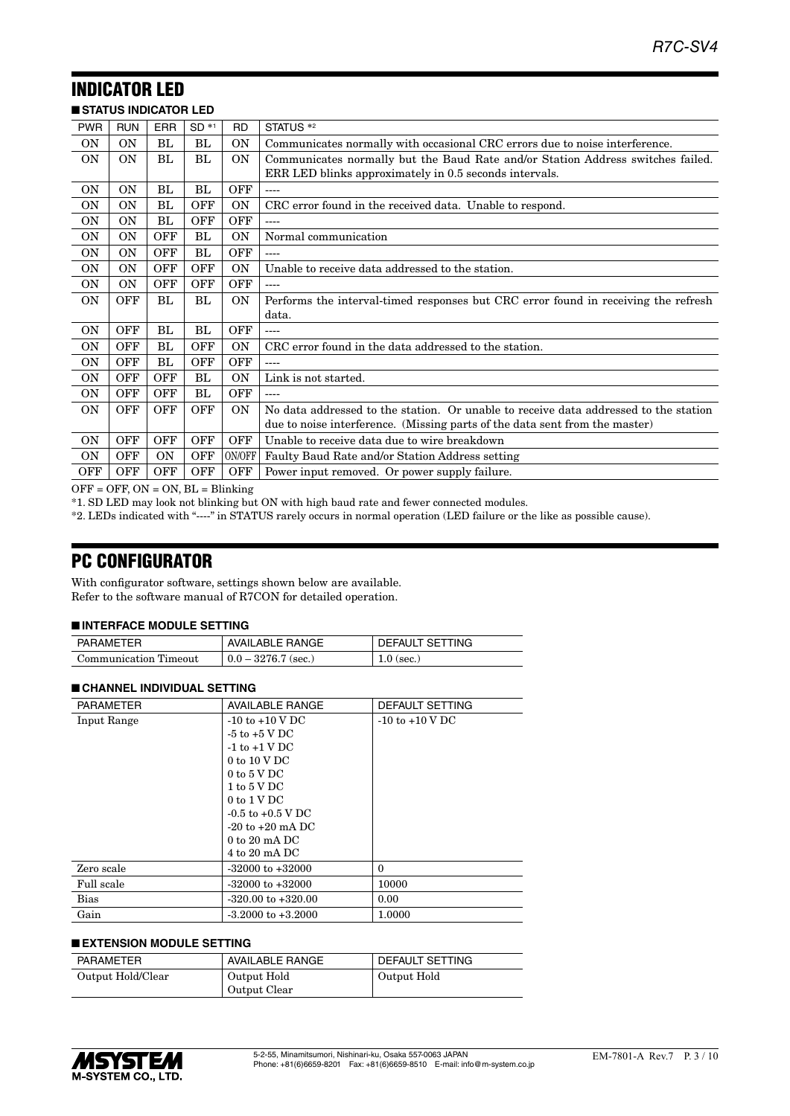#### INDICATOR LED ■ **STATUS INDICATOR LED**

| <b>SIAIUS INDICAIUR LED</b> |            |            |            |            |                                                                                      |
|-----------------------------|------------|------------|------------|------------|--------------------------------------------------------------------------------------|
| <b>PWR</b>                  | <b>RUN</b> | <b>ERR</b> | $SD *1$    | <b>RD</b>  | STATUS <sup>*2</sup>                                                                 |
| <b>ON</b>                   | <b>ON</b>  | BL         | BL         | <b>ON</b>  | Communicates normally with occasional CRC errors due to noise interference.          |
| <b>ON</b>                   | <b>ON</b>  | BL         | BL         | <b>ON</b>  | Communicates normally but the Baud Rate and/or Station Address switches failed.      |
|                             |            |            |            |            | ERR LED blinks approximately in 0.5 seconds intervals.                               |
| 0N                          | ON         | BL         | BL         | OFF        | $---$                                                                                |
| <b>ON</b>                   | ΟN         | BL         | OFF        | ΟN         | CRC error found in the received data. Unable to respond.                             |
| <b>ON</b>                   | <b>ON</b>  | BL         | <b>OFF</b> | OFF        | $---$                                                                                |
| <b>ON</b>                   | ON         | <b>OFF</b> | BL         | <b>ON</b>  | Normal communication                                                                 |
| <b>ON</b>                   | <b>ON</b>  | <b>OFF</b> | BL         | <b>OFF</b> | ----                                                                                 |
| <b>ON</b>                   | 0N         | <b>OFF</b> | <b>OFF</b> | <b>ON</b>  | Unable to receive data addressed to the station.                                     |
| <b>ON</b>                   | <b>ON</b>  | OFF        | <b>OFF</b> | OFF        | $---$                                                                                |
| <b>ON</b>                   | OFF        | BL         | BL         | ON         | Performs the interval-timed responses but CRC error found in receiving the refresh   |
|                             |            |            |            |            | data.                                                                                |
| <b>ON</b>                   | <b>OFF</b> | BL         | BL         | <b>OFF</b> | ----                                                                                 |
| <b>ON</b>                   | <b>OFF</b> | BL         | <b>OFF</b> | ON         | CRC error found in the data addressed to the station.                                |
| <b>ON</b>                   | OFF        | BL         | <b>OFF</b> | <b>OFF</b> | ----                                                                                 |
| 0N                          | <b>OFF</b> | OFF        | BL         | <b>ON</b>  | Link is not started.                                                                 |
| 0N                          | <b>OFF</b> | OFF        | BL         | <b>OFF</b> | ----                                                                                 |
| <b>ON</b>                   | <b>OFF</b> | OFF        | <b>OFF</b> | ON         | No data addressed to the station. Or unable to receive data addressed to the station |
|                             |            |            |            |            | due to noise interference. (Missing parts of the data sent from the master)          |
| <b>ON</b>                   | <b>OFF</b> | OFF        | <b>OFF</b> | <b>OFF</b> | Unable to receive data due to wire breakdown                                         |
| <b>ON</b>                   | <b>OFF</b> | <b>ON</b>  | OFF        | ON/OFF     | Faulty Baud Rate and/or Station Address setting                                      |
| OFF                         | OFF        | <b>OFF</b> | OFF        | OFF        | Power input removed. Or power supply failure.                                        |

 $OFF = OFF$ ,  $ON = ON$ ,  $BL = Blinking$ 

\*1. SD LED may look not blinking but ON with high baud rate and fewer connected modules.

\*2. LEDs indicated with "----" in STATUS rarely occurs in normal operation (LED failure or the like as possible cause).

# PC CONFIGURATOR

With configurator software, settings shown below are available. Refer to the software manual of R7CON for detailed operation.

### ■ **INTERFACE MODULE SETTING**

| PARAMETER             | <b>AVAILABLE RANGE</b> | DEFAULT SETTING |
|-----------------------|------------------------|-----------------|
| Communication Timeout | $0.0 - 3276.7$ (sec.)  | $1.0$ (sec.)    |

### ■ **CHANNEL INDIVIDUAL SETTING**

| <b>PARAMETER</b> | <b>AVAILABLE RANGE</b>                 | DEFAULT SETTING     |
|------------------|----------------------------------------|---------------------|
| Input Range      | $-10$ to $+10$ V DC                    | $-10$ to $+10$ V DC |
|                  | $-5$ to $+5$ V DC                      |                     |
|                  | $-1$ to $+1$ V DC                      |                     |
|                  | $0$ to $10$ V DC                       |                     |
|                  | $0 \text{ to } 5 \text{ V} \text{ DC}$ |                     |
|                  | 1 to 5 V DC                            |                     |
|                  | $0$ to $1$ V DC                        |                     |
|                  | $-0.5$ to $+0.5$ V DC                  |                     |
|                  | $-20$ to $+20$ mA DC                   |                     |
|                  | $0 \text{ to } 20 \text{ mA}$ DC       |                     |
|                  | $4 \text{ to } 20 \text{ mA}$ DC       |                     |
| Zero scale       | $-32000$ to $+32000$                   | $\Omega$            |
| Full scale       | $-32000$ to $+32000$                   | 10000               |
| <b>Bias</b>      | $-320.00$ to $+320.00$                 | 0.00                |
| Gain             | $-3.2000$ to $+3.2000$                 | 1.0000              |

### ■ **EXTENSION MODULE SETTING**

| PARAMETER         | AVAILABLE RANGE | DEFAULT SETTING |
|-------------------|-----------------|-----------------|
| Output Hold/Clear | Output Hold     | Output Hold     |
|                   | Output Clear    |                 |

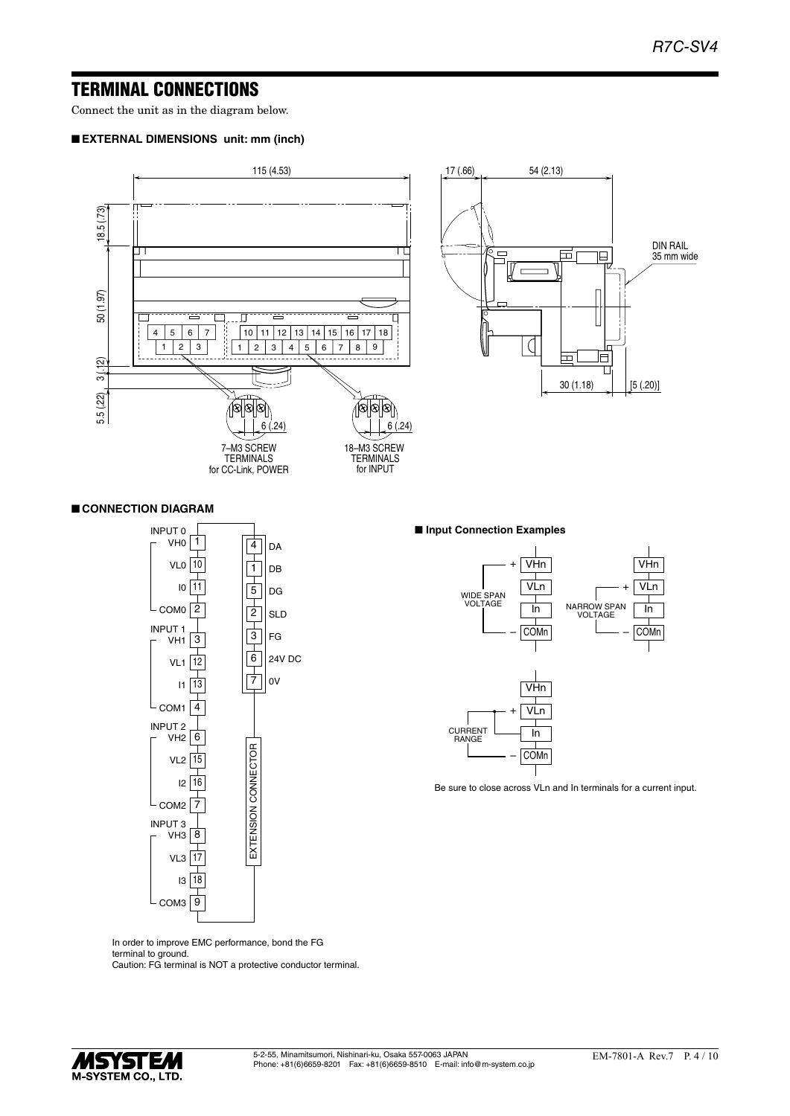4

DA VH0 1

## TERMINAL CONNECTIONS

Connect the unit as in the diagram below.

### ■ **EXTERNAL DIMENSIONS unit: mm (inch)**



### ■ **CONNECTION DIAGRAM**



In order to improve EMC performance, bond the FG terminal to ground.

Caution: FG terminal is NOT a protective conductor terminal.





Be sure to close across VLn and In terminals for a current input.

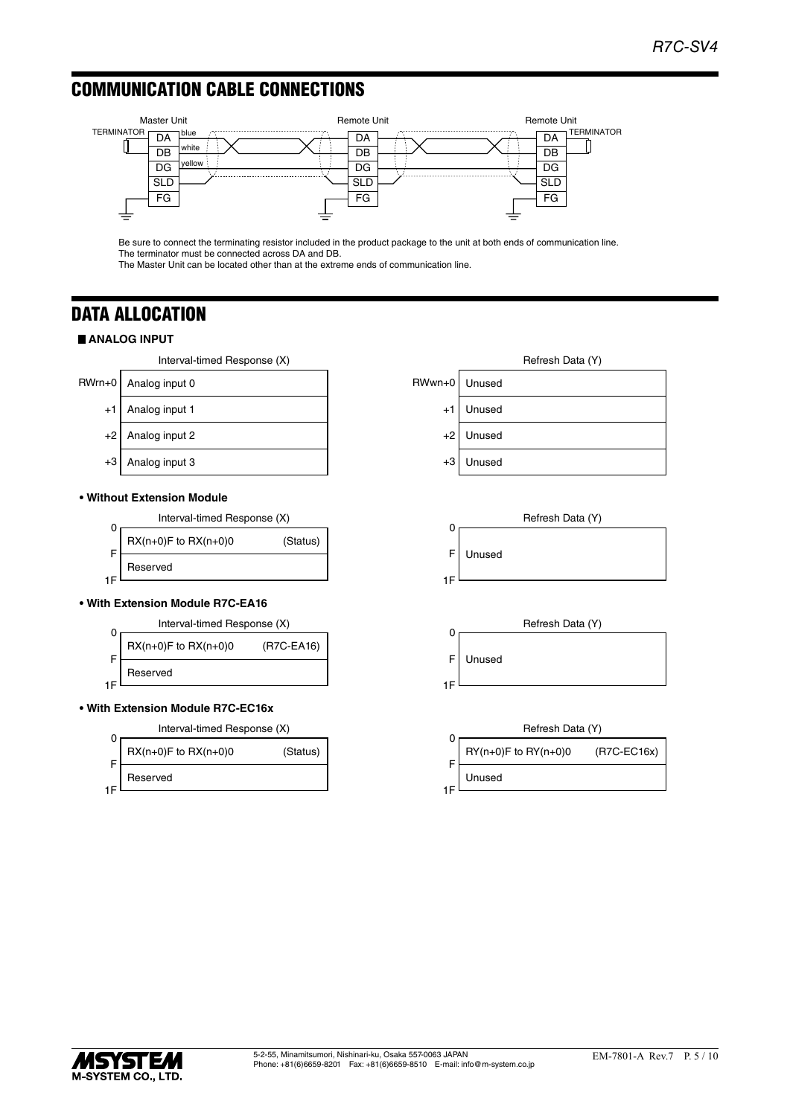# COMMUNICATION CABLE CONNECTIONS



Be sure to connect the terminating resistor included in the product package to the unit at both ends of communication line. The terminator must be connected across DA and DB.

The Master Unit can be located other than at the extreme ends of communication line.

# DATA ALLOCATION

### **ANALOG INPUT**

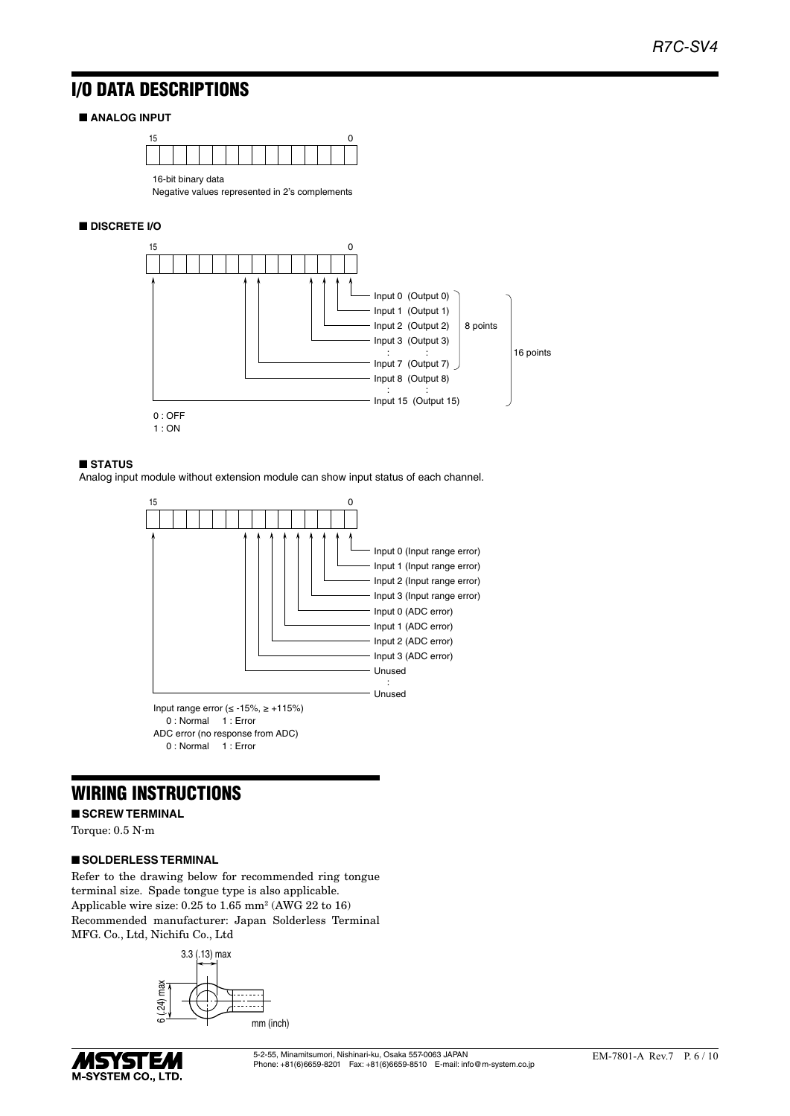# I/O DATA DESCRIPTIONS

### ■ **ANALOG INPUT**



Negative values represented in 2's complements

### ■ **DISCRETE I/O**



#### ■ **STATUS**

Analog input module without extension module can show input status of each channel.



# WIRING INSTRUCTIONS

#### ■ **SCREW TERMINAL**

Torque: 0.5 N·m

#### ■ **SOLDERLESS TERMINAL**

Refer to the drawing below for recommended ring tongue terminal size. Spade tongue type is also applicable. Applicable wire size: 0.25 to 1.65 mm<sup>2</sup> (AWG 22 to 16) Recommended manufacturer: Japan Solderless Terminal MFG. Co., Ltd, Nichifu Co., Ltd



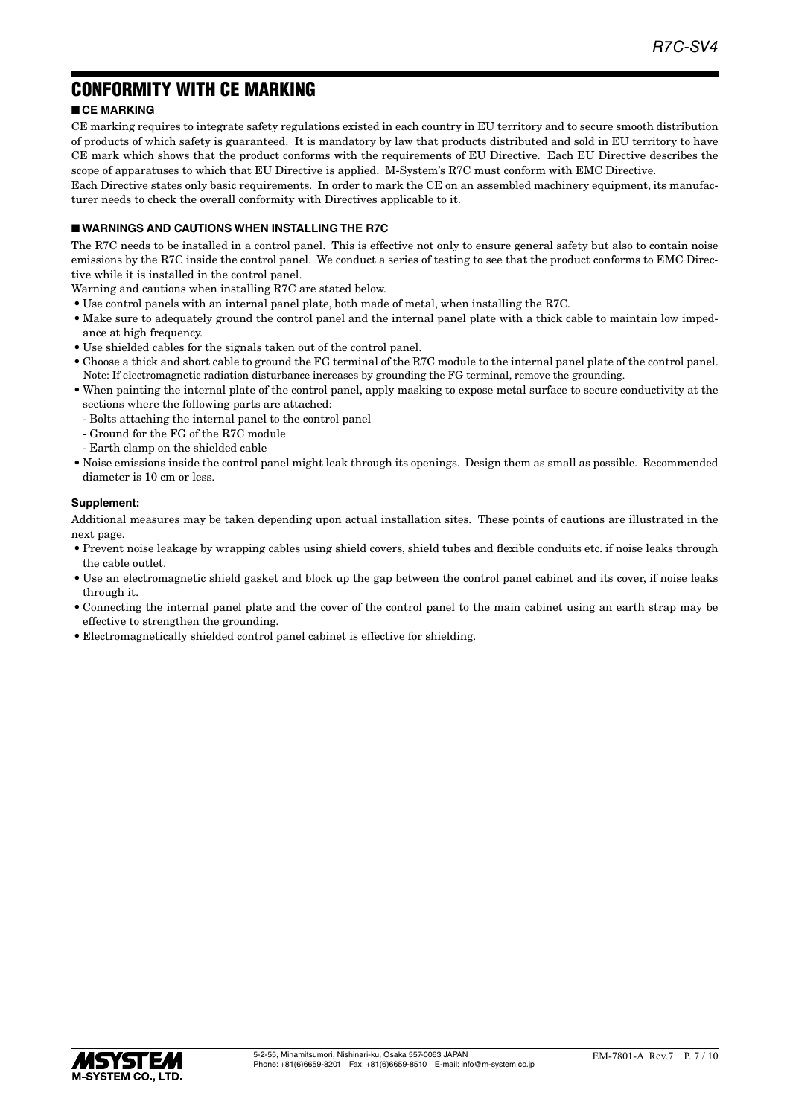# CONFORMITY WITH CE MARKING

### ■ **CE MARKING**

CE marking requires to integrate safety regulations existed in each country in EU territory and to secure smooth distribution of products of which safety is guaranteed. It is mandatory by law that products distributed and sold in EU territory to have CE mark which shows that the product conforms with the requirements of EU Directive. Each EU Directive describes the scope of apparatuses to which that EU Directive is applied. M-System's R7C must conform with EMC Directive.

Each Directive states only basic requirements. In order to mark the CE on an assembled machinery equipment, its manufacturer needs to check the overall conformity with Directives applicable to it.

### ■ **WARNINGS AND CAUTIONS WHEN INSTALLING THE R7C**

The R7C needs to be installed in a control panel. This is effective not only to ensure general safety but also to contain noise emissions by the R7C inside the control panel. We conduct a series of testing to see that the product conforms to EMC Directive while it is installed in the control panel.

Warning and cautions when installing R7C are stated below.

- Use control panels with an internal panel plate, both made of metal, when installing the R7C.
- Make sure to adequately ground the control panel and the internal panel plate with a thick cable to maintain low impedance at high frequency.
- Use shielded cables for the signals taken out of the control panel.
- Choose a thick and short cable to ground the FG terminal of the R7C module to the internal panel plate of the control panel. Note: If electromagnetic radiation disturbance increases by grounding the FG terminal, remove the grounding.
- When painting the internal plate of the control panel, apply masking to expose metal surface to secure conductivity at the sections where the following parts are attached:
	- Bolts attaching the internal panel to the control panel
	- Ground for the FG of the R7C module
	- Earth clamp on the shielded cable
- Noise emissions inside the control panel might leak through its openings. Design them as small as possible. Recommended diameter is 10 cm or less.

### **Supplement:**

Additional measures may be taken depending upon actual installation sites. These points of cautions are illustrated in the next page.

- Prevent noise leakage by wrapping cables using shield covers, shield tubes and flexible conduits etc. if noise leaks through the cable outlet.
- Use an electromagnetic shield gasket and block up the gap between the control panel cabinet and its cover, if noise leaks through it.
- Connecting the internal panel plate and the cover of the control panel to the main cabinet using an earth strap may be effective to strengthen the grounding.
- Electromagnetically shielded control panel cabinet is effective for shielding.

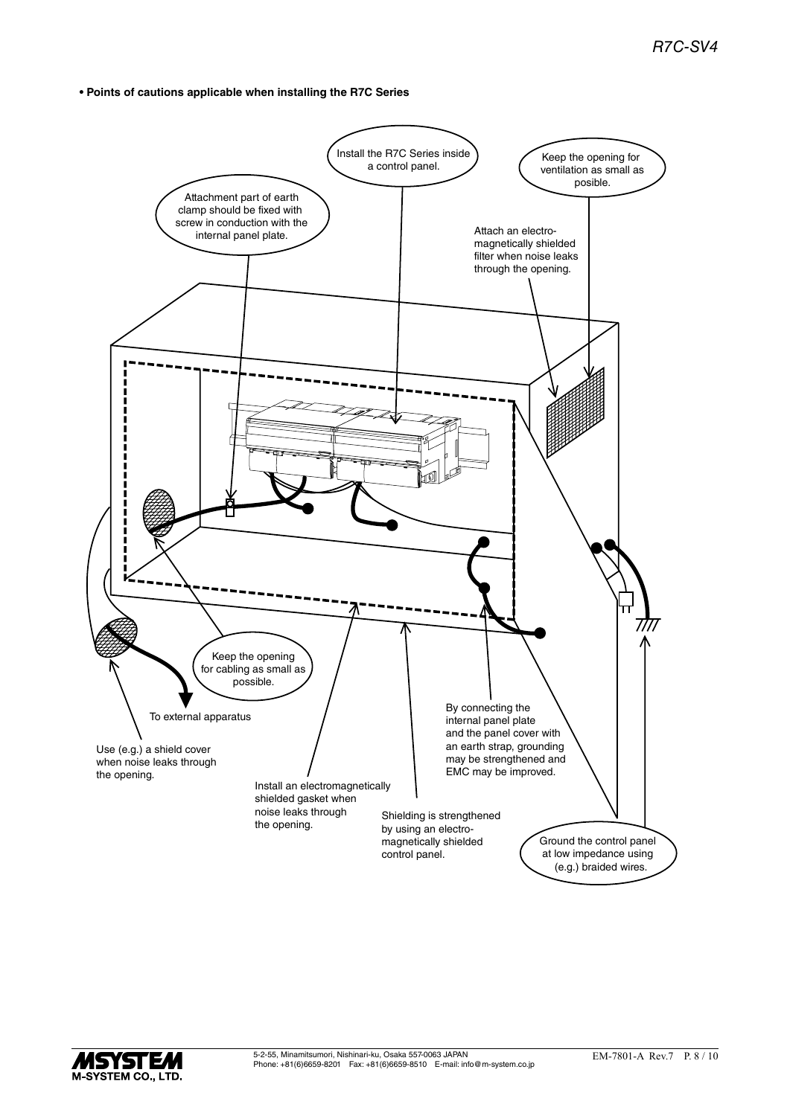**• Points of cautions applicable when installing the R7C Series**



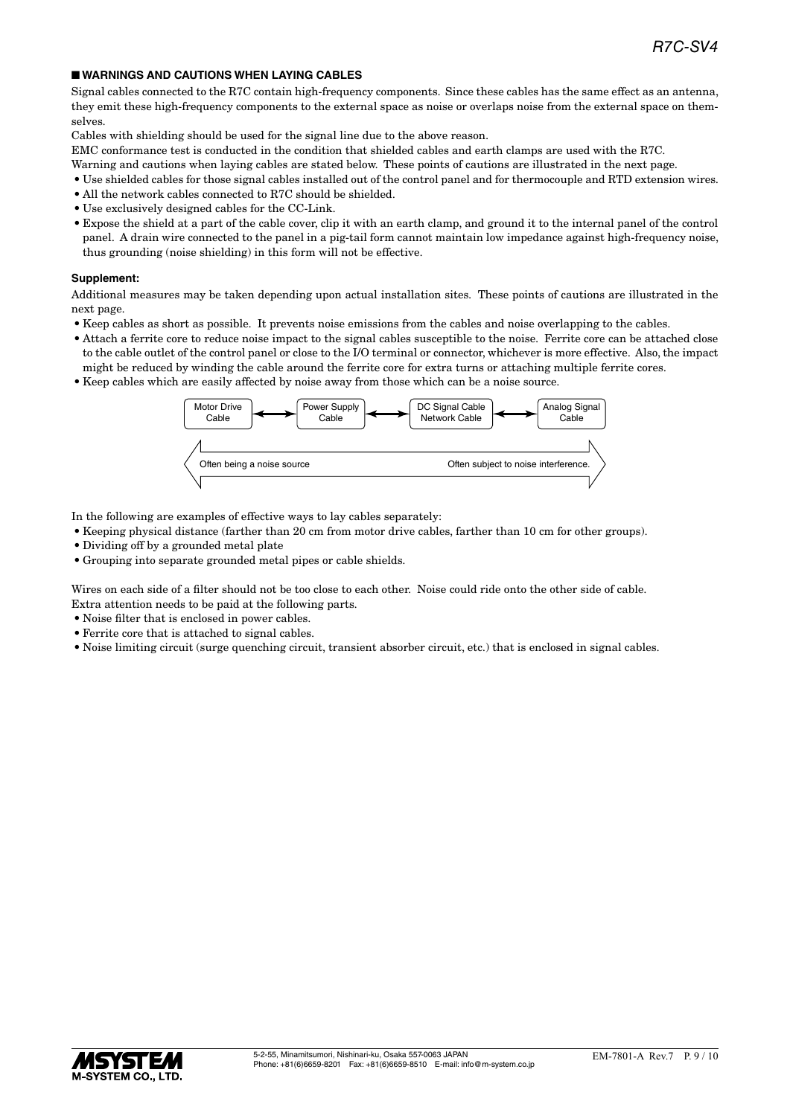### ■ **WARNINGS AND CAUTIONS WHEN LAYING CABLES**

Signal cables connected to the R7C contain high-frequency components. Since these cables has the same effect as an antenna, they emit these high-frequency components to the external space as noise or overlaps noise from the external space on themselves.

Cables with shielding should be used for the signal line due to the above reason.

EMC conformance test is conducted in the condition that shielded cables and earth clamps are used with the R7C.

- Warning and cautions when laying cables are stated below. These points of cautions are illustrated in the next page.
- Use shielded cables for those signal cables installed out of the control panel and for thermocouple and RTD extension wires.
- All the network cables connected to R7C should be shielded.
- Use exclusively designed cables for the CC-Link.
- Expose the shield at a part of the cable cover, clip it with an earth clamp, and ground it to the internal panel of the control panel. A drain wire connected to the panel in a pig-tail form cannot maintain low impedance against high-frequency noise, thus grounding (noise shielding) in this form will not be effective.

#### **Supplement:**

Additional measures may be taken depending upon actual installation sites. These points of cautions are illustrated in the next page.

- Keep cables as short as possible. It prevents noise emissions from the cables and noise overlapping to the cables.
- Attach a ferrite core to reduce noise impact to the signal cables susceptible to the noise. Ferrite core can be attached close to the cable outlet of the control panel or close to the I/O terminal or connector, whichever is more effective. Also, the impact might be reduced by winding the cable around the ferrite core for extra turns or attaching multiple ferrite cores.
- Keep cables which are easily affected by noise away from those which can be a noise source.



In the following are examples of effective ways to lay cables separately:

- Keeping physical distance (farther than 20 cm from motor drive cables, farther than 10 cm for other groups).
- Dividing off by a grounded metal plate
- Grouping into separate grounded metal pipes or cable shields.

Wires on each side of a filter should not be too close to each other. Noise could ride onto the other side of cable. Extra attention needs to be paid at the following parts.

- Noise filter that is enclosed in power cables.
- Ferrite core that is attached to signal cables.
- Noise limiting circuit (surge quenching circuit, transient absorber circuit, etc.) that is enclosed in signal cables.